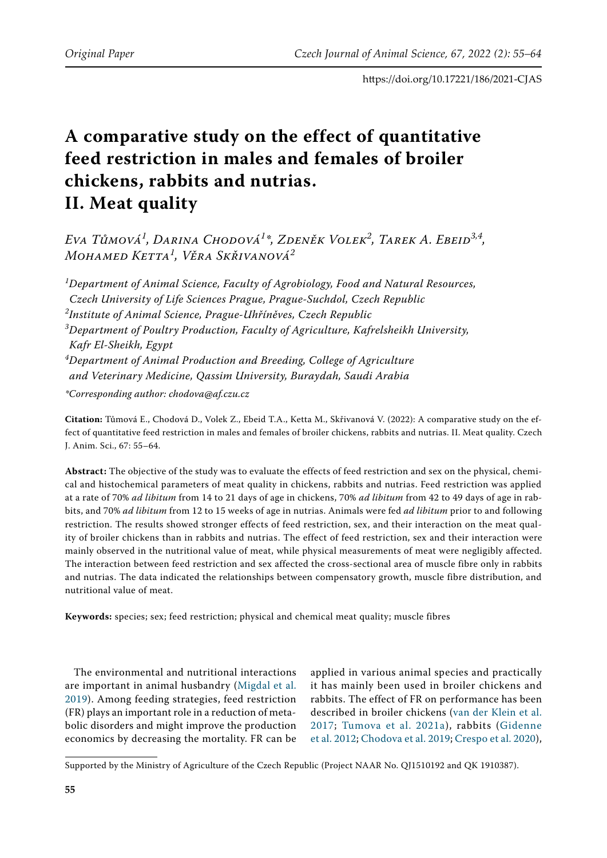# **A comparative study on the effect of quantitative feed restriction in males and females of broiler chickens, rabbits and nutrias. II. Meat quality**

*Eva Tůmová<sup>1</sup> , Darina Chodová<sup>1</sup> \*, Zdeněk Volek<sup>2</sup> , Tarek A. Ebeid3,4, Mohamed Ketta<sup>1</sup> , Věra Skřivanová<sup>2</sup>*

*1 Department of Animal Science, Faculty of Agrobiology, Food and Natural Resources, Czech University of Life Sciences Prague, Prague-Suchdol, Czech Republic 2 Institute of Animal Science, Prague-Uhříněves, Czech Republic 3 Department of Poultry Production, Faculty of Agriculture, Kafrelsheikh University, Kafr El-Sheikh, Egypt 4 Department of Animal Production and Breeding, College of Agriculture and Veterinary Medicine, Qassim University, Buraydah, Saudi Arabia \*Corresponding author: [chodova@af.czu.cz](mailto:chodova@af.czu.cz)*

**Citation:** Tůmová E., Chodová D., Volek Z., Ebeid T.A., Ketta M., Skřivanová V. (2022): A comparative study on the effect of quantitative feed restriction in males and females of broiler chickens, rabbits and nutrias. II. Meat quality. Czech J. Anim. Sci., 67: 55–64.

**Abstract:** The objective of the study was to evaluate the effects of feed restriction and sex on the physical, chemical and histochemical parameters of meat quality in chickens, rabbits and nutrias. Feed restriction was applied at a rate of 70% *ad libitum* from 14 to 21 days of age in chickens, 70% *ad libitum* from 42 to 49 days of age in rabbits, and 70% *ad libitum* from 12 to 15 weeks of age in nutrias. Animals were fed *ad libitum* prior to and following restriction. The results showed stronger effects of feed restriction, sex, and their interaction on the meat quality of broiler chickens than in rabbits and nutrias. The effect of feed restriction, sex and their interaction were mainly observed in the nutritional value of meat, while physical measurements of meat were negligibly affected. The interaction between feed restriction and sex affected the cross-sectional area of muscle fibre only in rabbits and nutrias. The data indicated the relationships between compensatory growth, muscle fibre distribution, and nutritional value of meat.

**Keywords:** species; sex; feed restriction; physical and chemical meat quality; muscle fibres

The environmental and nutritional interactions are important in animal husbandry ([Migdal et al.](#page-9-2)  [2019\)](#page-9-2). Among feeding strategies, feed restriction (FR) plays an important role in a reduction of metabolic disorders and might improve the production economics by decreasing the mortality. FR can be

applied in various animal species and practically it has mainly been used in broiler chickens and rabbits. The effect of FR on performance has been described in broiler chickens ([van der Klein et al.](#page-9-0) [2017](#page-9-0); [Tumova et al. 2021a\)](#page-9-1), rabbits ([Gidenne](#page-8-0) [et al. 2012;](#page-8-0) [Chodova et al. 2019;](#page-8-1) [Crespo et al. 2020\)](#page-8-2),

Supported by the Ministry of Agriculture of the Czech Republic (Project NAAR No. QJ1510192 and QK 1910387).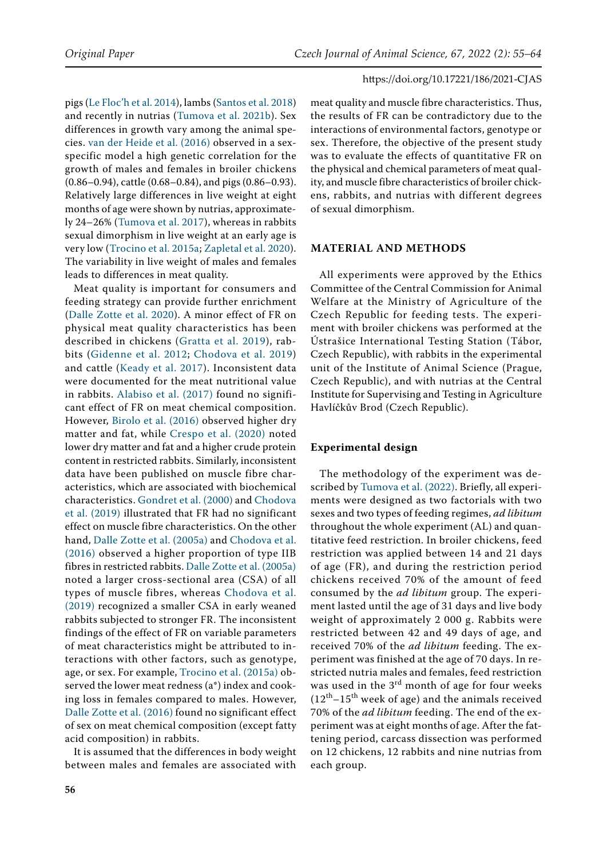pigs (Le Floc'h et al. 2014), lambs [\(Santos et al. 2018](#page-9-3)) and recently in nutrias ([Tumova et al. 2021b\)](#page-9-4). Sex differences in growth vary among the animal species. [van der Heide et al. \(2016\)](#page-9-5) observed in a sexspecific model a high genetic correlation for the growth of males and females in broiler chickens (0.86–0.94), cattle (0.68–0.84), and pigs (0.86–0.93). Relatively large differences in live weight at eight months of age were shown by nutrias, approximately 24–26% ([Tumova et al. 2017](#page-9-6)), whereas in rabbits sexual dimorphism in live weight at an early age is very low ([Trocino et al. 2015a;](#page-9-7) [Zapletal et al. 2020\)](#page-9-8). The variability in live weight of males and females leads to differences in meat quality.

Meat quality is important for consumers and feeding strategy can provide further enrichment [\(Dalle Zotte et al. 2020\)](#page-8-3). A minor effect of FR on physical meat quality characteristics has been described in chickens ([Gratta et al. 2019\)](#page-8-4), rabbits ([Gidenne et al. 2012;](#page-8-0) [Chodova et al. 2019](#page-8-1)) and cattle ([Keady et al. 2017](#page-9-9)). Inconsistent data were documented for the meat nutritional value in rabbits. [Alabiso et al. \(2017\)](#page-8-5) found no significant effect of FR on meat chemical composition. However, [Birolo et al. \(2016\)](#page-8-6) observed higher dry matter and fat, while [Crespo et al. \(2020\)](#page-8-2) noted lower dry matter and fat and a higher crude protein content in restricted rabbits. Similarly, inconsistent data have been published on muscle fibre characteristics, which are associated with biochemical characteristics. [Gondret et al. \(2000\)](#page-8-7) and [Chodova](#page-8-1)  [et al. \(2019\)](#page-8-1) illustrated that FR had no significant effect on muscle fibre characteristics. On the other hand, [Dalle Zotte et al. \(2005a\)](#page-8-8) and [Chodova et al.](#page-8-9)  [\(2016\)](#page-8-9) observed a higher proportion of type IIB fibres in restricted rabbits. [Dalle Zotte et al. \(2005a\)](#page-8-8) noted a larger cross-sectional area (CSA) of all types of muscle fibres, whereas [Chodova et al.](#page-8-1)  [\(2019\)](#page-8-1) recognized a smaller CSA in early weaned rabbits subjected to stronger FR. The inconsistent findings of the effect of FR on variable parameters of meat characteristics might be attributed to interactions with other factors, such as genotype, age, or sex. For example, [Trocino et al. \(2015a\)](#page-9-7) observed the lower meat redness (a\*) index and cooking loss in females compared to males. However, [Dalle Zotte et al. \(2016\)](#page-8-10) found no significant effect of sex on meat chemical composition (except fatty acid composition) in rabbits.

It is assumed that the differences in body weight between males and females are associated with

meat quality and muscle fibre characteristics. Thus, the results of FR can be contradictory due to the interactions of environmental factors, genotype or sex. Therefore, the objective of the present study was to evaluate the effects of quantitative FR on the physical and chemical parameters of meat quality, and muscle fibre characteristics of broiler chickens, rabbits, and nutrias with different degrees of sexual dimorphism.

#### **Material and methods**

All experiments were approved by the Ethics Committee of the Central Commission for Animal Welfare at the Ministry of Agriculture of the Czech Republic for feeding tests. The experiment with broiler chickens was performed at the Ústrašice International Testing Station (Tábor, Czech Republic), with rabbits in the experimental unit of the Institute of Animal Science (Prague, Czech Republic), and with nutrias at the Central Institute for Supervising and Testing in Agriculture Havlíčkův Brod (Czech Republic).

#### **Experimental design**

The methodology of the experiment was described by [Tumova et al. \(2022\)](#page-9-10). Briefly, all experiments were designed as two factorials with two sexes and two types of feeding regimes, *ad libitum* throughout the whole experiment (AL) and quantitative feed restriction. In broiler chickens, feed restriction was applied between 14 and 21 days of age (FR), and during the restriction period chickens received 70% of the amount of feed consumed by the *ad libitum* group. The experiment lasted until the age of 31 days and live body weight of approximately 2 000 g. Rabbits were restricted between 42 and 49 days of age, and received 70% of the *ad libitum* feeding. The experiment was finished at the age of 70 days. In restricted nutria males and females, feed restriction was used in the 3rd month of age for four weeks  $(12<sup>th</sup>-15<sup>th</sup>$  week of age) and the animals received 70% of the *ad libitum* feeding. The end of the experiment was at eight months of age. After the fattening period, carcass dissection was performed on 12 chickens, 12 rabbits and nine nutrias from each group.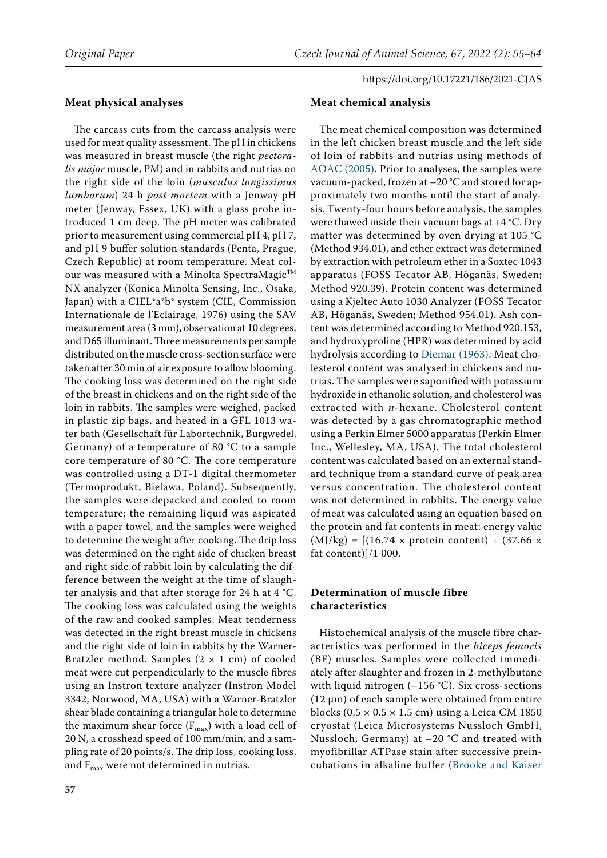# **Meat physical analyses**

The carcass cuts from the carcass analysis were used for meat quality assessment. The pH in chickens was measured in breast muscle (the right *pectoralis major* muscle, PM) and in rabbits and nutrias on the right side of the loin (*musculus longissimus lumborum*) 24 h *post mortem* with a Jenway pH meter (Jenway, Essex, UK) with a glass probe introduced 1 cm deep. The pH meter was calibrated prior to measurement using commercial pH 4, pH 7, and pH 9 buffer solution standards (Penta, Prague, Czech Republic) at room temperature. Meat colour was measured with a Minolta SpectraMagic $^{TM}$ NX analyzer (Konica Minolta Sensing, Inc., Osaka, Japan) with a CIEL\*a\*b\* system (CIE, Commission Internationale de l'Eclairage, 1976) using the SAV measurement area (3 mm), observation at 10 degrees, and D65 illuminant. Three measurements per sample distributed on the muscle cross-section surface were taken after 30 min of air exposure to allow blooming. The cooking loss was determined on the right side of the breast in chickens and on the right side of the loin in rabbits. The samples were weighed, packed in plastic zip bags, and heated in a GFL 1013 water bath (Gesellschaft für Labortechnik, Burgwedel, Germany) of a temperature of 80 °C to a sample core temperature of 80 °C. The core temperature was controlled using a DT-1 digital thermometer (Termoprodukt, Bielawa, Poland). Subsequently, the samples were depacked and cooled to room temperature; the remaining liquid was aspirated with a paper towel, and the samples were weighed to determine the weight after cooking. The drip loss was determined on the right side of chicken breast and right side of rabbit loin by calculating the difference between the weight at the time of slaughter analysis and that after storage for 24 h at 4 °C. The cooking loss was calculated using the weights of the raw and cooked samples. Meat tenderness was detected in the right breast muscle in chickens and the right side of loin in rabbits by the Warner-Bratzler method. Samples  $(2 \times 1 \text{ cm})$  of cooled meat were cut perpendicularly to the muscle fibres using an Instron texture analyzer (Instron Model 3342, Norwood, MA, USA) with a Warner-Bratzler shear blade containing a triangular hole to determine the maximum shear force  $(F_{max})$  with a load cell of 20 N, a crosshead speed of 100 mm/min, and a sampling rate of 20 points/s. The drip loss, cooking loss, and  $F_{\text{max}}$  were not determined in nutrias.

#### **Meat chemical analysis**

The meat chemical composition was determined in the left chicken breast muscle and the left side of loin of rabbits and nutrias using methods of [AOAC \(2005\)](#page-8-11). Prior to analyses, the samples were vacuum-packed, frozen at –20 °C and stored for approximately two months until the start of analysis. Twenty-four hours before analysis, the samples were thawed inside their vacuum bags at +4 °C. Dry matter was determined by oven drying at 105 °C (Method 934.01), and ether extract was determined by extraction with petroleum ether in a Soxtec 1043 apparatus (FOSS Tecator AB, Höganäs, Sweden; Method 920.39). Protein content was determined using a Kjeltec Auto 1030 Analyzer (FOSS Tecator AB, Höganäs, Sweden; Method 954.01). Ash content was determined according to Method 920.153, and hydroxyproline (HPR) was determined by acid hydrolysis according to [Diemar \(1963\).](#page-8-12) Meat cholesterol content was analysed in chickens and nutrias. The samples were saponified with potassium hydroxide in ethanolic solution, and cholesterol was extracted with *n*-hexane. Cholesterol content was detected by a gas chromatographic method using a Perkin Elmer 5000 apparatus (Perkin Elmer Inc., Wellesley, MA, USA). The total cholesterol content was calculated based on an external standard technique from a standard curve of peak area versus concentration. The cholesterol content was not determined in rabbits. The energy value of meat was calculated using an equation based on the protein and fat contents in meat: energy value  $(MJ/kg) = [(16.74 \times protein content) + (37.66 \times$ fat content)]/1 000.

## **Determination of muscle fibre characteristics**

Histochemical analysis of the muscle fibre characteristics was performed in the *biceps femoris* (BF) muscles. Samples were collected immediately after slaughter and frozen in 2-methylbutane with liquid nitrogen  $(-156 \degree C)$ . Six cross-sections  $(12 \mu m)$  of each sample were obtained from entire blocks ( $0.5 \times 0.5 \times 1.5$  cm) using a Leica CM 1850 cryostat (Leica Microsystems Nussloch GmbH, Nussloch, Germany) at –20 °C and treated with myofibrillar ATPase stain after successive preincubations in alkaline buffer ([Brooke and Kaiser](#page-8-13)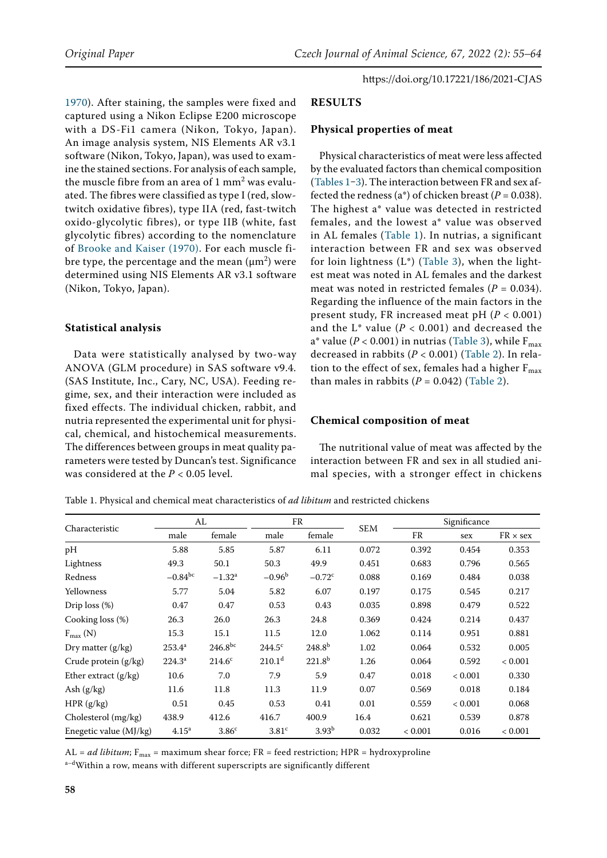[1970\)](#page-8-13). After staining, the samples were fixed and captured using a Nikon Eclipse E200 microscope with a DS-Fi1 camera (Nikon, Tokyo, Japan). An image analysis system, NIS Elements AR v3.1 software (Nikon, Tokyo, Japan), was used to examine the stained sections. For analysis of each sample, the muscle fibre from an area of  $1 \text{ mm}^2$  was evaluated. The fibres were classified as type I (red, slowtwitch oxidative fibres), type IIA (red, fast-twitch oxido-glycolytic fibres), or type IIB (white, fast glycolytic fibres) according to the nomenclature of [Brooke and Kaiser \(1970\)](#page-8-13). For each muscle fibre type, the percentage and the mean  $(\mu m^2)$  were determined using NIS Elements AR v3.1 software (Nikon, Tokyo, Japan).

# **Statistical analysis**

Data were statistically analysed by two-way ANOVA (GLM procedure) in SAS software v9.4. (SAS Institute, Inc., Cary, NC, USA). Feeding regime, sex, and their interaction were included as fixed effects. The individual chicken, rabbit, and nutria represented the experimental unit for physical, chemical, and histochemical measurements. The differences between groups in meat quality parameters were tested by Duncan's test. Significance was considered at the *P* < 0.05 level.

# **Results**

## **Physical properties of meat**

Physical characteristics of meat were less affected by the evaluated factors than chemical composition (Tables 1‒3). The interaction between FR and sex affected the redness (a\*) of chicken breast ( $P = 0.038$ ). The highest a\* value was detected in restricted females, and the lowest a\* value was observed in AL females (Table 1). In nutrias, a significant interaction between FR and sex was observed for loin lightness  $(L^*)$  (Table 3), when the lightest meat was noted in AL females and the darkest meat was noted in restricted females ( $P = 0.034$ ). Regarding the influence of the main factors in the present study, FR increased meat pH (*P* < 0.001) and the  $L^*$  value ( $P < 0.001$ ) and decreased the a\* value ( $P < 0.001$ ) in nutrias (Table 3), while  $F_{\text{max}}$ decreased in rabbits (*P* < 0.001) (Table 2). In relation to the effect of sex, females had a higher  $F_{\text{max}}$ than males in rabbits  $(P = 0.042)$  (Table 2).

## **Chemical composition of meat**

The nutritional value of meat was affected by the interaction between FR and sex in all studied animal species, with a stronger effect in chickens

Table 1. Physical and chemical meat characteristics of *ad libitum* and restricted chickens

| Characteristic           | AL                    |                    | FR                 |                      |            |         | Significance |                 |  |
|--------------------------|-----------------------|--------------------|--------------------|----------------------|------------|---------|--------------|-----------------|--|
|                          | male                  | female             | male               | female               | <b>SEM</b> | FR      | sex          | $FR \times$ sex |  |
| pH                       | 5.88                  | 5.85               | 5.87               | 6.11                 | 0.072      | 0.392   | 0.454        | 0.353           |  |
| Lightness                | 49.3                  | 50.1               | 50.3               | 49.9                 | 0.451      | 0.683   | 0.796        | 0.565           |  |
| Redness                  | $-0.84$ <sub>bc</sub> | $-1.32^a$          | $-0.96^{\rm b}$    | $-0.72$ <sup>c</sup> | 0.088      | 0.169   | 0.484        | 0.038           |  |
| Yellowness               | 5.77                  | 5.04               | 5.82               | 6.07                 | 0.197      | 0.175   | 0.545        | 0.217           |  |
| Drip $loss (\%)$         | 0.47                  | 0.47               | 0.53               | 0.43                 | 0.035      | 0.898   | 0.479        | 0.522           |  |
| Cooking loss (%)         | 26.3                  | 26.0               | 26.3               | 24.8                 | 0.369      | 0.424   | 0.214        | 0.437           |  |
| $F_{\text{max}}(N)$      | 15.3                  | 15.1               | 11.5               | 12.0                 | 1.062      | 0.114   | 0.951        | 0.881           |  |
| Dry matter $(g/kg)$      | $253.4^{a}$           | $246.8^{bc}$       | $244.5^{\circ}$    | $248.8^{b}$          | 1.02       | 0.064   | 0.532        | 0.005           |  |
| Crude protein (g/kg)     | $224.3^{\circ}$       | 214.6 <sup>c</sup> | 210.1 <sup>d</sup> | $221.8^{b}$          | 1.26       | 0.064   | 0.592        | < 0.001         |  |
| Ether extract $(g/kg)$   | 10.6                  | 7.0                | 7.9                | 5.9                  | 0.47       | 0.018   | < 0.001      | 0.330           |  |
| Ash $(g/kg)$             | 11.6                  | 11.8               | 11.3               | 11.9                 | 0.07       | 0.569   | 0.018        | 0.184           |  |
| HPR(g/kg)                | 0.51                  | 0.45               | 0.53               | 0.41                 | 0.01       | 0.559   | < 0.001      | 0.068           |  |
| Cholesterol (mg/kg)      | 438.9                 | 412.6              | 416.7              | 400.9                | 16.4       | 0.621   | 0.539        | 0.878           |  |
| Enegetic value $(MJ/kg)$ | 4.15 <sup>a</sup>     | 3.86 <sup>c</sup>  | 3.81 <sup>c</sup>  | 3.93 <sup>b</sup>    | 0.032      | < 0.001 | 0.016        | < 0.001         |  |

 $AL = ad libitum; F<sub>max</sub> = maximum shear force; FR = feed restriction; HPR = hydroxyproline$ 

a-dWithin a row, means with different superscripts are significantly different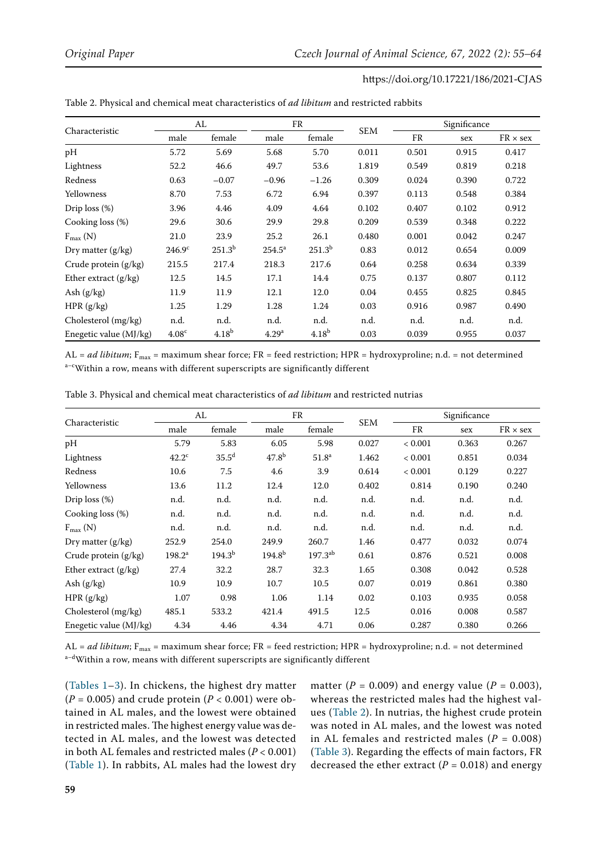|                          |                    | AL                |                   | FR                |            | Significance |       |                 |
|--------------------------|--------------------|-------------------|-------------------|-------------------|------------|--------------|-------|-----------------|
| Characteristic           | male               | female            | male              | female            | <b>SEM</b> | FR           | sex   | $FR \times$ sex |
| pH                       | 5.72               | 5.69              | 5.68              | 5.70              | 0.011      | 0.501        | 0.915 | 0.417           |
| Lightness                | 52.2               | 46.6              | 49.7              | 53.6              | 1.819      | 0.549        | 0.819 | 0.218           |
| Redness                  | 0.63               | $-0.07$           | $-0.96$           | $-1.26$           | 0.309      | 0.024        | 0.390 | 0.722           |
| Yellowness               | 8.70               | 7.53              | 6.72              | 6.94              | 0.397      | 0.113        | 0.548 | 0.384           |
| Drip $loss (\%)$         | 3.96               | 4.46              | 4.09              | 4.64              | 0.102      | 0.407        | 0.102 | 0.912           |
| Cooking loss $(\%)$      | 29.6               | 30.6              | 29.9              | 29.8              | 0.209      | 0.539        | 0.348 | 0.222           |
| $F_{\text{max}}(N)$      | 21.0               | 23.9              | 25.2              | 26.1              | 0.480      | 0.001        | 0.042 | 0.247           |
| Dry matter $(g/kg)$      | 246.9 <sup>c</sup> | $251.3^{b}$       | $254.5^{\circ}$   | $251.3^{b}$       | 0.83       | 0.012        | 0.654 | 0.009           |
| Crude protein (g/kg)     | 215.5              | 217.4             | 218.3             | 217.6             | 0.64       | 0.258        | 0.634 | 0.339           |
| Ether extract $(g/kg)$   | 12.5               | 14.5              | 17.1              | 14.4              | 0.75       | 0.137        | 0.807 | 0.112           |
| Ash $(g/kg)$             | 11.9               | 11.9              | 12.1              | 12.0              | 0.04       | 0.455        | 0.825 | 0.845           |
| HPR(g/kg)                | 1.25               | 1.29              | 1.28              | 1.24              | 0.03       | 0.916        | 0.987 | 0.490           |
| Cholesterol (mg/kg)      | n.d.               | n.d.              | n.d.              | n.d.              | n.d.       | n.d.         | n.d.  | n.d.            |
| Enegetic value $(MJ/kg)$ | 4.08 <sup>c</sup>  | 4.18 <sup>b</sup> | 4.29 <sup>a</sup> | 4.18 <sup>b</sup> | 0.03       | 0.039        | 0.955 | 0.037           |

Table 2. Physical and chemical meat characteristics of *ad libitum* and restricted rabbits

AL = *ad libitum*; Fmax = maximum shear force; FR = feed restriction; HPR = hydroxyproline; n.d. = not determined a-cWithin a row, means with different superscripts are significantly different

| Table 3. Physical and chemical meat characteristics of <i>ad libitum</i> and restricted nutrias |  |
|-------------------------------------------------------------------------------------------------|--|
|                                                                                                 |  |

| Characteristic           | AL                 |                   | FR                 |                   | <b>SEM</b> |         | Significance |                 |
|--------------------------|--------------------|-------------------|--------------------|-------------------|------------|---------|--------------|-----------------|
|                          | male               | female            | male               | female            |            | FR      | sex          | $FR \times$ sex |
| pH                       | 5.79               | 5.83              | 6.05               | 5.98              | 0.027      | < 0.001 | 0.363        | 0.267           |
| Lightness                | $42.2^{\circ}$     | 35.5 <sup>d</sup> | $47.8^{b}$         | 51.8 <sup>a</sup> | 1.462      | < 0.001 | 0.851        | 0.034           |
| Redness                  | 10.6               | 7.5               | 4.6                | 3.9               | 0.614      | < 0.001 | 0.129        | 0.227           |
| Yellowness               | 13.6               | 11.2              | 12.4               | 12.0              | 0.402      | 0.814   | 0.190        | 0.240           |
| Drip $loss (\%)$         | n.d.               | n.d.              | n.d.               | n.d.              | n.d.       | n.d.    | n.d.         | n.d.            |
| Cooking loss (%)         | n.d.               | n.d.              | n.d.               | n.d.              | n.d.       | n.d.    | n.d.         | n.d.            |
| $F_{\text{max}}(N)$      | n.d.               | n.d.              | n.d.               | n.d.              | n.d.       | n.d.    | n.d.         | n.d.            |
| Dry matter $(g/kg)$      | 252.9              | 254.0             | 249.9              | 260.7             | 1.46       | 0.477   | 0.032        | 0.074           |
| Crude protein (g/kg)     | 198.2 <sup>a</sup> | $194.3^{b}$       | 194.8 <sup>b</sup> | $197.3^{ab}$      | 0.61       | 0.876   | 0.521        | 0.008           |
| Ether extract $(g/kg)$   | 27.4               | 32.2              | 28.7               | 32.3              | 1.65       | 0.308   | 0.042        | 0.528           |
| Ash $(g/kg)$             | 10.9               | 10.9              | 10.7               | 10.5              | 0.07       | 0.019   | 0.861        | 0.380           |
| HPR(g/kg)                | 1.07               | 0.98              | 1.06               | 1.14              | 0.02       | 0.103   | 0.935        | 0.058           |
| Cholesterol (mg/kg)      | 485.1              | 533.2             | 421.4              | 491.5             | 12.5       | 0.016   | 0.008        | 0.587           |
| Enegetic value $(MJ/kg)$ | 4.34               | 4.46              | 4.34               | 4.71              | 0.06       | 0.287   | 0.380        | 0.266           |

AL = *ad libitum*; Fmax = maximum shear force; FR = feed restriction; HPR = hydroxyproline; n.d. = not determined a-dWithin a row, means with different superscripts are significantly different

(Tables 1–3). In chickens, the highest dry matter  $(P = 0.005)$  and crude protein  $(P < 0.001)$  were obtained in AL males, and the lowest were obtained in restricted males. The highest energy value was detected in AL males, and the lowest was detected in both AL females and restricted males (*P* < 0.001) (Table 1). In rabbits, AL males had the lowest dry matter ( $P = 0.009$ ) and energy value ( $P = 0.003$ ), whereas the restricted males had the highest values (Table 2). In nutrias, the highest crude protein was noted in AL males, and the lowest was noted in AL females and restricted males ( $P = 0.008$ ) (Table 3). Regarding the effects of main factors, FR decreased the ether extract  $(P = 0.018)$  and energy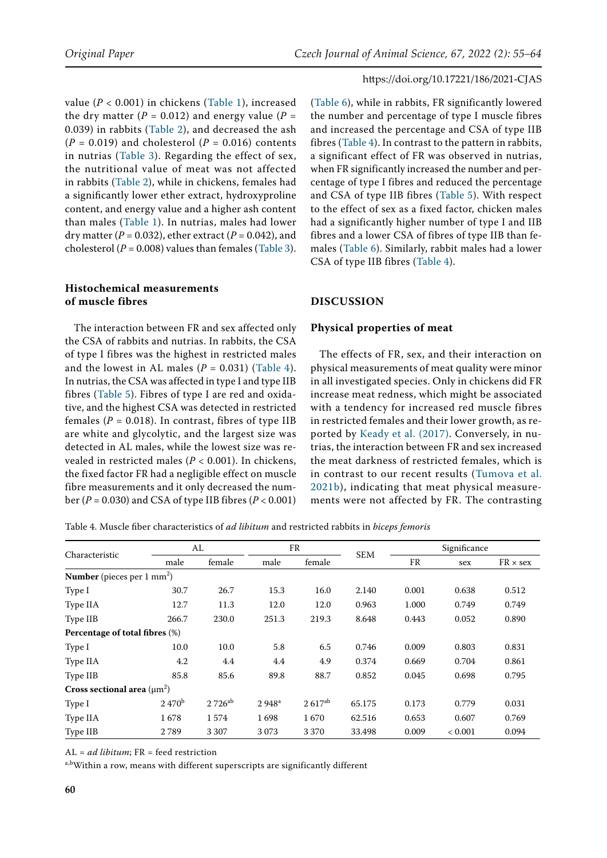value (*P* < 0.001) in chickens (Table 1), increased the dry matter ( $P = 0.012$ ) and energy value ( $P =$ 0.039) in rabbits (Table 2), and decreased the ash  $(P = 0.019)$  and cholesterol  $(P = 0.016)$  contents in nutrias (Table 3). Regarding the effect of sex, the nutritional value of meat was not affected in rabbits (Table 2), while in chickens, females had a significantly lower ether extract, hydroxyproline content, and energy value and a higher ash content than males (Table 1). In nutrias, males had lower dry matter (*P* = 0.032), ether extract (*P* = 0.042), and cholesterol  $(P = 0.008)$  values than females (Table 3).

## **Histochemical measurements of muscle fibres**

The interaction between FR and sex affected only the CSA of rabbits and nutrias. In rabbits, the CSA of type I fibres was the highest in restricted males and the lowest in AL males  $(P = 0.031)$  (Table 4). In nutrias, the CSA was affected in type I and type IIB fibres (Table 5). Fibres of type I are red and oxidative, and the highest CSA was detected in restricted females ( $P = 0.018$ ). In contrast, fibres of type IIB are white and glycolytic, and the largest size was detected in AL males, while the lowest size was revealed in restricted males (*P* < 0.001). In chickens, the fixed factor FR had a negligible effect on muscle fibre measurements and it only decreased the number (*P* = 0.030) and CSA of type IIB fibres (*P* < 0.001)

(Table 6), while in rabbits, FR significantly lowered the number and percentage of type I muscle fibres and increased the percentage and CSA of type IIB fibres (Table 4). In contrast to the pattern in rabbits, a significant effect of FR was observed in nutrias, when FR significantly increased the number and percentage of type I fibres and reduced the percentage and CSA of type IIB fibres (Table 5). With respect to the effect of sex as a fixed factor, chicken males had a significantly higher number of type I and IIB fibres and a lower CSA of fibres of type IIB than females (Table 6). Similarly, rabbit males had a lower CSA of type IIB fibres (Table 4).

# **Discussion**

## **Physical properties of meat**

The effects of FR, sex, and their interaction on physical measurements of meat quality were minor in all investigated species. Only in chickens did FR increase meat redness, which might be associated with a tendency for increased red muscle fibres in restricted females and their lower growth, as reported by [Keady et al. \(2017\).](#page-9-9) Conversely, in nutrias, the interaction between FR and sex increased the meat darkness of restricted females, which is in contrast to our recent results ([Tumova et al.](#page-9-4) [2021b](#page-9-4)), indicating that meat physical measurements were not affected by FR. The contrasting

Table 4. Muscle fiber characteristics of *ad libitum* and restricted rabbits in *biceps femoris*

|                                              |                | AL          |          | FR           |            | Significance |         |                 |
|----------------------------------------------|----------------|-------------|----------|--------------|------------|--------------|---------|-----------------|
| Characteristic                               | male           | female      | male     | female       | <b>SEM</b> | FR           | sex     | $FR \times$ sex |
| <b>Number</b> (pieces per $1 \text{ mm}^2$ ) |                |             |          |              |            |              |         |                 |
| Type I                                       | 30.7           | 26.7        | 15.3     | 16.0         | 2.140      | 0.001        | 0.638   | 0.512           |
| Type IIA                                     | 12.7           | 11.3        | 12.0     | 12.0         | 0.963      | 1.000        | 0.749   | 0.749           |
| Type IIB                                     | 266.7          | 230.0       | 251.3    | 219.3        | 8.648      | 0.443        | 0.052   | 0.890           |
| Percentage of total fibres (%)               |                |             |          |              |            |              |         |                 |
| Type I                                       | 10.0           | 10.0        | 5.8      | 6.5          | 0.746      | 0.009        | 0.803   | 0.831           |
| Type IIA                                     | 4.2            | 4.4         | 4.4      | 4.9          | 0.374      | 0.669        | 0.704   | 0.861           |
| Type IIB                                     | 85.8           | 85.6        | 89.8     | 88.7         | 0.852      | 0.045        | 0.698   | 0.795           |
| Cross sectional area $(\mu m^2)$             |                |             |          |              |            |              |         |                 |
| Type I                                       | $2470^{\rm b}$ | $2726^{ab}$ | $2948^a$ | $2.617^{ab}$ | 65.175     | 0.173        | 0.779   | 0.031           |
| Type IIA                                     | 1678           | 1574        | 1698     | 1670         | 62.516     | 0.653        | 0.607   | 0.769           |
| Type IIB                                     | 2789           | 3 3 0 7     | 3073     | 3 3 7 0      | 33.498     | 0.009        | < 0.001 | 0.094           |

AL = *ad libitum*; FR = feed restriction

a,bWithin a row, means with different superscripts are significantly different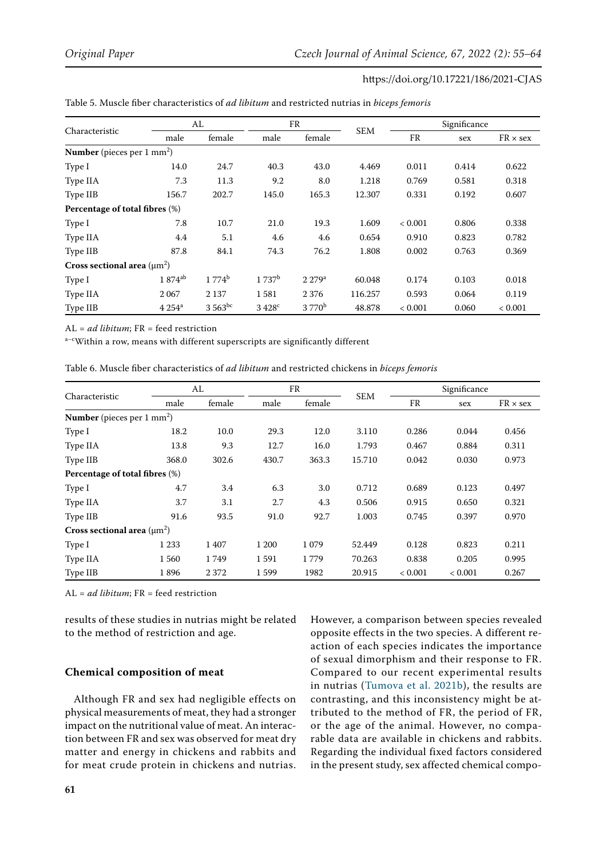|                                              |                      | AL                    |                   | FR                 |            |           | Significance |                 |  |
|----------------------------------------------|----------------------|-----------------------|-------------------|--------------------|------------|-----------|--------------|-----------------|--|
| Characteristic                               | male                 | female                | male              | female             | <b>SEM</b> | <b>FR</b> | sex          | $FR \times$ sex |  |
| <b>Number</b> (pieces per $1 \text{ mm}^2$ ) |                      |                       |                   |                    |            |           |              |                 |  |
| Type I                                       | 14.0                 | 24.7                  | 40.3              | 43.0               | 4.469      | 0.011     | 0.414        | 0.622           |  |
| Type IIA                                     | 7.3                  | 11.3                  | 9.2               | 8.0                | 1.218      | 0.769     | 0.581        | 0.318           |  |
| Type IIB                                     | 156.7                | 202.7                 | 145.0             | 165.3              | 12.307     | 0.331     | 0.192        | 0.607           |  |
| Percentage of total fibres (%)               |                      |                       |                   |                    |            |           |              |                 |  |
| Type I                                       | 7.8                  | 10.7                  | 21.0              | 19.3               | 1.609      | < 0.001   | 0.806        | 0.338           |  |
| Type IIA                                     | 4.4                  | 5.1                   | 4.6               | 4.6                | 0.654      | 0.910     | 0.823        | 0.782           |  |
| Type IIB                                     | 87.8                 | 84.1                  | 74.3              | 76.2               | 1.808      | 0.002     | 0.763        | 0.369           |  |
| Cross sectional area $(\mu m^2)$             |                      |                       |                   |                    |            |           |              |                 |  |
| Type I                                       | $1.874^{ab}$         | $1774^{\rm b}$        | 1737 <sup>b</sup> | 2.279 <sup>a</sup> | 60.048     | 0.174     | 0.103        | 0.018           |  |
| Type IIA                                     | 2067                 | 2 1 3 7               | 1581              | 2 3 7 6            | 116.257    | 0.593     | 0.064        | 0.119           |  |
| Type IIB                                     | $4.254$ <sup>a</sup> | $3.563$ <sub>bc</sub> | $3428$ c          | 3770 <sup>b</sup>  | 48.878     | < 0.001   | 0.060        | < 0.001         |  |

Table 5. Muscle fiber characteristics of *ad libitum* and restricted nutrias in *biceps femoris*

AL = *ad libitum*; FR = feed restriction

a-cWithin a row, means with different superscripts are significantly different

Table 6. Muscle fiber characteristics of *ad libitum* and restricted chickens in *biceps femoris*

|                                              |         | AL      |       | FR     |            |         | Significance |                 |  |
|----------------------------------------------|---------|---------|-------|--------|------------|---------|--------------|-----------------|--|
| Characteristic                               | male    | female  | male  | female | <b>SEM</b> | FR      | sex          | $FR \times$ sex |  |
| <b>Number</b> (pieces per $1 \text{ mm}^2$ ) |         |         |       |        |            |         |              |                 |  |
| Type I                                       | 18.2    | 10.0    | 29.3  | 12.0   | 3.110      | 0.286   | 0.044        | 0.456           |  |
| Type IIA                                     | 13.8    | 9.3     | 12.7  | 16.0   | 1.793      | 0.467   | 0.884        | 0.311           |  |
| Type IIB                                     | 368.0   | 302.6   | 430.7 | 363.3  | 15.710     | 0.042   | 0.030        | 0.973           |  |
| Percentage of total fibres (%)               |         |         |       |        |            |         |              |                 |  |
| Type I                                       | 4.7     | 3.4     | 6.3   | 3.0    | 0.712      | 0.689   | 0.123        | 0.497           |  |
| Type IIA                                     | 3.7     | 3.1     | 2.7   | 4.3    | 0.506      | 0.915   | 0.650        | 0.321           |  |
| Type IIB                                     | 91.6    | 93.5    | 91.0  | 92.7   | 1.003      | 0.745   | 0.397        | 0.970           |  |
| Cross sectional area $(\mu m^2)$             |         |         |       |        |            |         |              |                 |  |
| Type I                                       | 1 2 3 3 | 1 407   | 1 200 | 1079   | 52.449     | 0.128   | 0.823        | 0.211           |  |
| Type IIA                                     | 1560    | 1749    | 1591  | 1779   | 70.263     | 0.838   | 0.205        | 0.995           |  |
| Type IIB                                     | 1896    | 2 3 7 2 | 1599  | 1982   | 20.915     | < 0.001 | < 0.001      | 0.267           |  |

AL = *ad libitum*; FR = feed restriction

results of these studies in nutrias might be related to the method of restriction and age.

#### **Chemical composition of meat**

Although FR and sex had negligible effects on physical measurements of meat, they had a stronger impact on the nutritional value of meat. An interaction between FR and sex was observed for meat dry matter and energy in chickens and rabbits and for meat crude protein in chickens and nutrias.

However, a comparison between species revealed opposite effects in the two species. A different reaction of each species indicates the importance of sexual dimorphism and their response to FR. Compared to our recent experimental results in nutrias ([Tumova et al. 2021b](#page-9-4)), the results are contrasting, and this inconsistency might be attributed to the method of FR, the period of FR, or the age of the animal. However, no comparable data are available in chickens and rabbits. Regarding the individual fixed factors considered in the present study, sex affected chemical compo-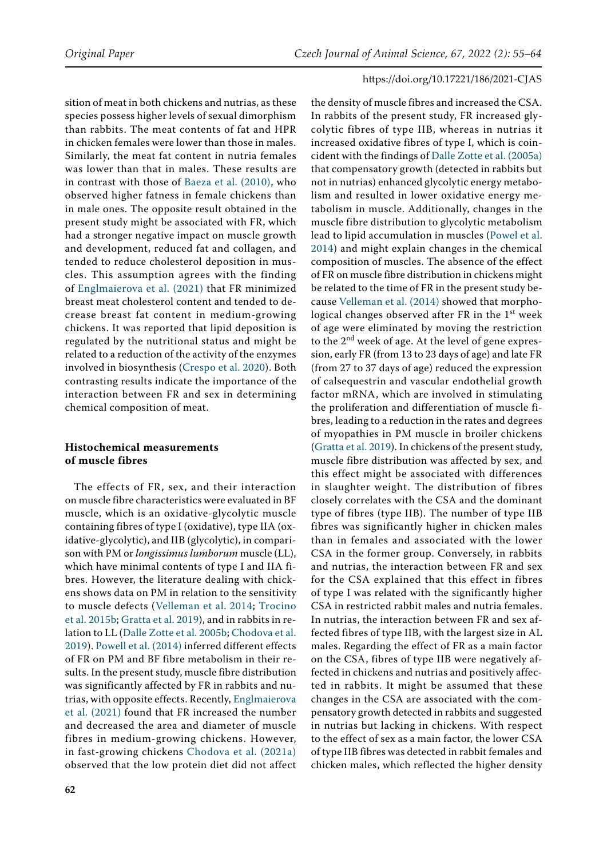sition of meat in both chickens and nutrias, as these species possess higher levels of sexual dimorphism than rabbits. The meat contents of fat and HPR in chicken females were lower than those in males. Similarly, the meat fat content in nutria females was lower than that in males. These results are in contrast with those of [Baeza et al. \(2010\),](#page-8-14) who observed higher fatness in female chickens than in male ones. The opposite result obtained in the present study might be associated with FR, which had a stronger negative impact on muscle growth and development, reduced fat and collagen, and tended to reduce cholesterol deposition in muscles. This assumption agrees with the finding of [Englmaierova et al. \(2021\)](#page-8-15) that FR minimized breast meat cholesterol content and tended to decrease breast fat content in medium-growing chickens. It was reported that lipid deposition is regulated by the nutritional status and might be related to a reduction of the activity of the enzymes involved in biosynthesis ([Crespo et al. 2020](#page-8-2)). Both contrasting results indicate the importance of the interaction between FR and sex in determining chemical composition of meat.

## **Histochemical measurements of muscle fibres**

The effects of FR, sex, and their interaction on muscle fibre characteristics were evaluated in BF muscle, which is an oxidative-glycolytic muscle containing fibres of type I (oxidative), type IIA (oxidative-glycolytic), and IIB (glycolytic), in comparison with PM or *longissimus lumborum* muscle (LL), which have minimal contents of type I and IIA fibres. However, the literature dealing with chickens shows data on PM in relation to the sensitivity to muscle defects ([Velleman et al. 2014;](#page-9-11) [Trocino](#page-9-12)  [et al. 2015b](#page-9-12); [Gratta et al. 2019](#page-8-4)), and in rabbits in relation to LL ([Dalle Zotte et al. 2005b;](#page-8-16) [Chodova et al.](#page-8-1)  [2019\)](#page-8-1). [Powell et al. \(2014\) i](#page-9-13)nferred different effects of FR on PM and BF fibre metabolism in their results. In the present study, muscle fibre distribution was significantly affected by FR in rabbits and nutrias, with opposite effects. Recently, [Englmaierova](#page-8-15)  [et al. \(2021\)](#page-8-15) found that FR increased the number and decreased the area and diameter of muscle fibres in medium-growing chickens. However, in fast-growing chickens [Chodova et al. \(2021a\)](#page-8-17) observed that the low protein diet did not affect the density of muscle fibres and increased the CSA. In rabbits of the present study, FR increased glycolytic fibres of type IIB, whereas in nutrias it increased oxidative fibres of type I, which is coincident with the findings of [Dalle Zotte et al. \(2005a\)](#page-8-8) that compensatory growth (detected in rabbits but not in nutrias) enhanced glycolytic energy metabolism and resulted in lower oxidative energy metabolism in muscle. Additionally, changes in the muscle fibre distribution to glycolytic metabolism lead to lipid accumulation in muscles ([Powel et al.](#page-9-13) [2014](#page-9-13)) and might explain changes in the chemical composition of muscles. The absence of the effect of FR on muscle fibre distribution in chickens might be related to the time of FR in the present study because [Velleman et al. \(2014\)](#page-9-11) showed that morphological changes observed after FR in the  $1<sup>st</sup>$  week of age were eliminated by moving the restriction to the 2<sup>nd</sup> week of age. At the level of gene expression, early FR (from 13 to 23 days of age) and late FR (from 27 to 37 days of age) reduced the expression of calsequestrin and vascular endothelial growth factor mRNA, which are involved in stimulating the proliferation and differentiation of muscle fibres, leading to a reduction in the rates and degrees of myopathies in PM muscle in broiler chickens ([Gratta et al. 2019\)](#page-8-4). In chickens of the present study, muscle fibre distribution was affected by sex, and this effect might be associated with differences in slaughter weight. The distribution of fibres closely correlates with the CSA and the dominant type of fibres (type IIB). The number of type IIB fibres was significantly higher in chicken males than in females and associated with the lower CSA in the former group. Conversely, in rabbits and nutrias, the interaction between FR and sex for the CSA explained that this effect in fibres of type I was related with the significantly higher CSA in restricted rabbit males and nutria females. In nutrias, the interaction between FR and sex affected fibres of type IIB, with the largest size in AL males. Regarding the effect of FR as a main factor on the CSA, fibres of type IIB were negatively affected in chickens and nutrias and positively affected in rabbits. It might be assumed that these changes in the CSA are associated with the compensatory growth detected in rabbits and suggested in nutrias but lacking in chickens. With respect to the effect of sex as a main factor, the lower CSA of type IIB fibres was detected in rabbit females and chicken males, which reflected the higher density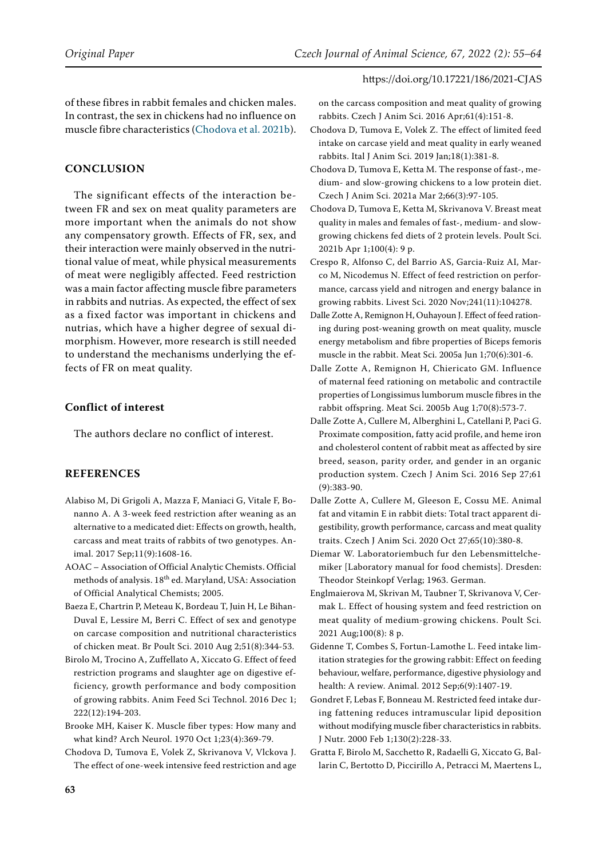of these fibres in rabbit females and chicken males.

In contrast, the sex in chickens had no influence on muscle fibre characteristics ([Chodova et al. 2021b\)](#page-8-18).

# **Conclusion**

The significant effects of the interaction between FR and sex on meat quality parameters are more important when the animals do not show any compensatory growth. Effects of FR, sex, and their interaction were mainly observed in the nutritional value of meat, while physical measurements of meat were negligibly affected. Feed restriction was a main factor affecting muscle fibre parameters in rabbits and nutrias. As expected, the effect of sex as a fixed factor was important in chickens and nutrias, which have a higher degree of sexual dimorphism. However, more research is still needed to understand the mechanisms underlying the effects of FR on meat quality.

# **Conflict of interest**

The authors declare no conflict of interest.

# **References**

- <span id="page-8-5"></span>Alabiso M, Di Grigoli A, Mazza F, Maniaci G, Vitale F, Bonanno A. A 3-week feed restriction after weaning as an alternative to a medicated diet: Effects on growth, health, carcass and meat traits of rabbits of two genotypes. Animal. 2017 Sep;11(9):1608-16.
- <span id="page-8-11"></span>AOAC – Association of Official Analytic Chemists. Official methods of analysis. 18<sup>th</sup> ed. Maryland, USA: Association of Official Analytical Chemists; 2005.
- <span id="page-8-14"></span>Baeza E, Chartrin P, Meteau K, Bordeau T, Juin H, Le Bihan-Duval E, Lessire M, Berri C. Effect of sex and genotype on carcase composition and nutritional characteristics of chicken meat. Br Poult Sci. 2010 Aug 2;51(8):344-53.
- <span id="page-8-6"></span>Birolo M, Trocino A, Zuffellato A, Xiccato G. Effect of feed restriction programs and slaughter age on digestive efficiency, growth performance and body composition of growing rabbits. Anim Feed Sci Technol. 2016 Dec 1; 222(12):194-203.
- <span id="page-8-13"></span>Brooke MH, Kaiser K. Muscle fiber types: How many and what kind? Arch Neurol. 1970 Oct 1;23(4):369-79.
- <span id="page-8-9"></span>Chodova D, Tumova E, Volek Z, Skrivanova V, Vlckova J. The effect of one-week intensive feed restriction and age

on the carcass composition and meat quality of growing rabbits. Czech J Anim Sci. 2016 Apr;61(4):151-8.

https://doi.org/10.17221/186/2021-CJAS

- <span id="page-8-1"></span>Chodova D, Tumova E, Volek Z. The effect of limited feed intake on carcase yield and meat quality in early weaned rabbits. Ital J Anim Sci. 2019 Jan;18(1):381-8.
- <span id="page-8-17"></span>Chodova D, Tumova E, Ketta M. The response of fast-, medium- and slow-growing chickens to a low protein diet. Czech J Anim Sci. 2021a Mar 2;66(3):97-105.
- <span id="page-8-18"></span>Chodova D, Tumova E, Ketta M, Skrivanova V. Breast meat quality in males and females of fast-, medium- and slowgrowing chickens fed diets of 2 protein levels. Poult Sci. 2021b Apr 1;100(4): 9 p.
- <span id="page-8-2"></span>Crespo R, Alfonso C, del Barrio AS, Garcia-Ruiz AI, Marco M, Nicodemus N. Effect of feed restriction on performance, carcass yield and nitrogen and energy balance in growing rabbits. Livest Sci. 2020 Nov;241(11):104278.
- <span id="page-8-8"></span>Dalle Zotte A, Remignon H, Ouhayoun J. Effect of feed rationing during post-weaning growth on meat quality, muscle energy metabolism and fibre properties of Biceps femoris muscle in the rabbit. Meat Sci. 2005a Jun 1;70(6):301-6.
- <span id="page-8-16"></span>Dalle Zotte A, Remignon H, Chiericato GM. Influence of maternal feed rationing on metabolic and contractile properties of Longissimus lumborum muscle fibres in the rabbit offspring. Meat Sci. 2005b Aug 1;70(8):573-7.
- <span id="page-8-10"></span>Dalle Zotte A, Cullere M, Alberghini L, Catellani P, Paci G. Proximate composition, fatty acid profile, and heme iron and cholesterol content of rabbit meat as affected by sire breed, season, parity order, and gender in an organic production system. Czech J Anim Sci. 2016 Sep 27;61 (9):383-90.
- <span id="page-8-3"></span>Dalle Zotte A, Cullere M, Gleeson E, Cossu ME. Animal fat and vitamin E in rabbit diets: Total tract apparent digestibility, growth performance, carcass and meat quality traits. Czech J Anim Sci. 2020 Oct 27;65(10):380-8.
- <span id="page-8-12"></span>Diemar W. Laboratoriembuch fur den Lebensmittelchemiker [Laboratory manual for food chemists]. Dresden: Theodor Steinkopf Verlag; 1963. German.
- <span id="page-8-15"></span>Englmaierova M, Skrivan M, Taubner T, Skrivanova V, Cermak L. Effect of housing system and feed restriction on meat quality of medium-growing chickens. Poult Sci. 2021 Aug;100(8): 8 p.
- <span id="page-8-0"></span>Gidenne T, Combes S, Fortun-Lamothe L. Feed intake limitation strategies for the growing rabbit: Effect on feeding behaviour, welfare, performance, digestive physiology and health: A review. Animal. 2012 Sep;6(9):1407-19.
- <span id="page-8-7"></span>Gondret F, Lebas F, Bonneau M. Restricted feed intake during fattening reduces intramuscular lipid deposition without modifying muscle fiber characteristics in rabbits. J Nutr. 2000 Feb 1;130(2):228-33.
- <span id="page-8-4"></span>Gratta F, Birolo M, Sacchetto R, Radaelli G, Xiccato G, Ballarin C, Bertotto D, Piccirillo A, Petracci M, Maertens L,